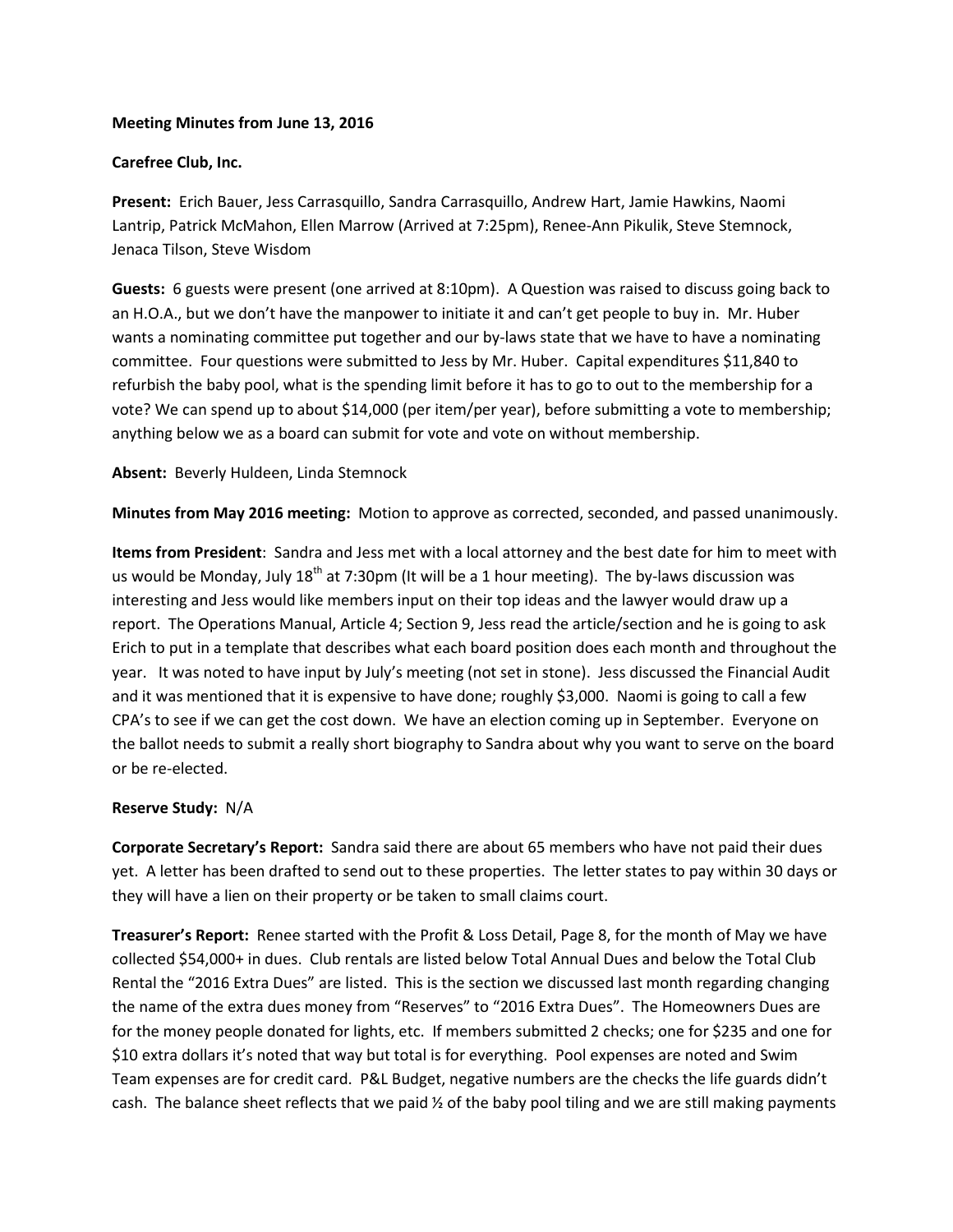## **Meeting Minutes from June 13, 2016**

## **Carefree Club, Inc.**

**Present:** Erich Bauer, Jess Carrasquillo, Sandra Carrasquillo, Andrew Hart, Jamie Hawkins, Naomi Lantrip, Patrick McMahon, Ellen Marrow (Arrived at 7:25pm), Renee-Ann Pikulik, Steve Stemnock, Jenaca Tilson, Steve Wisdom

**Guests:** 6 guests were present (one arrived at 8:10pm). A Question was raised to discuss going back to an H.O.A., but we don't have the manpower to initiate it and can't get people to buy in. Mr. Huber wants a nominating committee put together and our by-laws state that we have to have a nominating committee. Four questions were submitted to Jess by Mr. Huber. Capital expenditures \$11,840 to refurbish the baby pool, what is the spending limit before it has to go to out to the membership for a vote? We can spend up to about \$14,000 (per item/per year), before submitting a vote to membership; anything below we as a board can submit for vote and vote on without membership.

### **Absent:** Beverly Huldeen, Linda Stemnock

**Minutes from May 2016 meeting:** Motion to approve as corrected, seconded, and passed unanimously.

**Items from President**: Sandra and Jess met with a local attorney and the best date for him to meet with us would be Monday, July  $18<sup>th</sup>$  at 7:30pm (It will be a 1 hour meeting). The by-laws discussion was interesting and Jess would like members input on their top ideas and the lawyer would draw up a report. The Operations Manual, Article 4; Section 9, Jess read the article/section and he is going to ask Erich to put in a template that describes what each board position does each month and throughout the year. It was noted to have input by July's meeting (not set in stone). Jess discussed the Financial Audit and it was mentioned that it is expensive to have done; roughly \$3,000. Naomi is going to call a few CPA's to see if we can get the cost down. We have an election coming up in September. Everyone on the ballot needs to submit a really short biography to Sandra about why you want to serve on the board or be re-elected.

#### **Reserve Study:** N/A

**Corporate Secretary's Report:** Sandra said there are about 65 members who have not paid their dues yet. A letter has been drafted to send out to these properties. The letter states to pay within 30 days or they will have a lien on their property or be taken to small claims court.

**Treasurer's Report:** Renee started with the Profit & Loss Detail, Page 8, for the month of May we have collected \$54,000+ in dues. Club rentals are listed below Total Annual Dues and below the Total Club Rental the "2016 Extra Dues" are listed. This is the section we discussed last month regarding changing the name of the extra dues money from "Reserves" to "2016 Extra Dues". The Homeowners Dues are for the money people donated for lights, etc. If members submitted 2 checks; one for \$235 and one for \$10 extra dollars it's noted that way but total is for everything. Pool expenses are noted and Swim Team expenses are for credit card. P&L Budget, negative numbers are the checks the life guards didn't cash. The balance sheet reflects that we paid ½ of the baby pool tiling and we are still making payments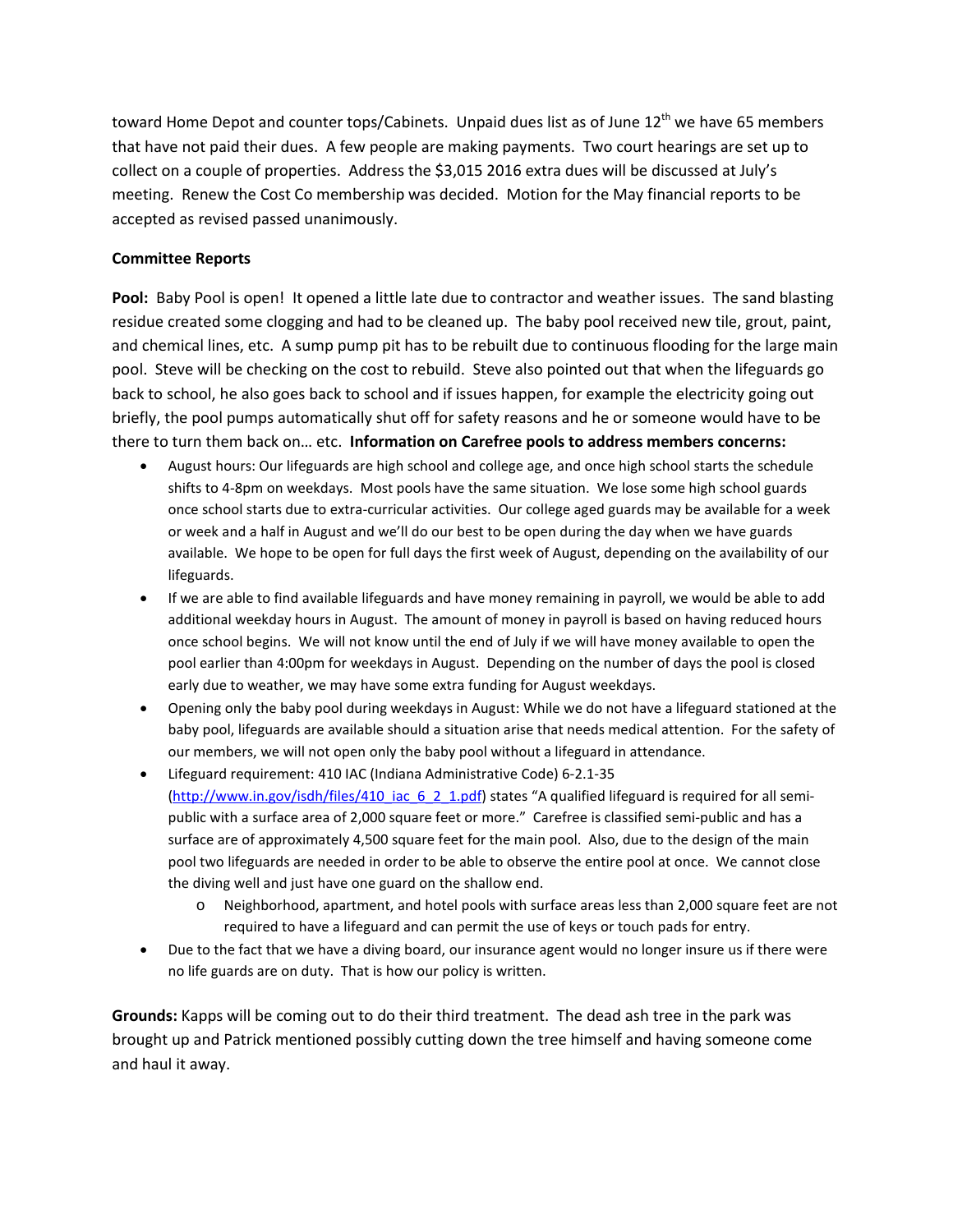toward Home Depot and counter tops/Cabinets. Unpaid dues list as of June 12<sup>th</sup> we have 65 members that have not paid their dues. A few people are making payments. Two court hearings are set up to collect on a couple of properties. Address the \$3,015 2016 extra dues will be discussed at July's meeting. Renew the Cost Co membership was decided. Motion for the May financial reports to be accepted as revised passed unanimously.

# **Committee Reports**

Pool: Baby Pool is open! It opened a little late due to contractor and weather issues. The sand blasting residue created some clogging and had to be cleaned up. The baby pool received new tile, grout, paint, and chemical lines, etc. A sump pump pit has to be rebuilt due to continuous flooding for the large main pool. Steve will be checking on the cost to rebuild. Steve also pointed out that when the lifeguards go back to school, he also goes back to school and if issues happen, for example the electricity going out briefly, the pool pumps automatically shut off for safety reasons and he or someone would have to be there to turn them back on… etc. **Information on Carefree pools to address members concerns:** 

- August hours: Our lifeguards are high school and college age, and once high school starts the schedule shifts to 4-8pm on weekdays. Most pools have the same situation. We lose some high school guards once school starts due to extra-curricular activities. Our college aged guards may be available for a week or week and a half in August and we'll do our best to be open during the day when we have guards available. We hope to be open for full days the first week of August, depending on the availability of our lifeguards.
- If we are able to find available lifeguards and have money remaining in payroll, we would be able to add additional weekday hours in August. The amount of money in payroll is based on having reduced hours once school begins. We will not know until the end of July if we will have money available to open the pool earlier than 4:00pm for weekdays in August. Depending on the number of days the pool is closed early due to weather, we may have some extra funding for August weekdays.
- Opening only the baby pool during weekdays in August: While we do not have a lifeguard stationed at the baby pool, lifeguards are available should a situation arise that needs medical attention. For the safety of our members, we will not open only the baby pool without a lifeguard in attendance.
- Lifeguard requirement: 410 IAC (Indiana Administrative Code) 6-2.1-35 [\(http://www.in.gov/isdh/files/410\\_iac\\_6\\_2\\_1.pdf\)](http://www.in.gov/isdh/files/410_iac_6_2_1.pdf) states "A qualified lifeguard is required for all semipublic with a surface area of 2,000 square feet or more." Carefree is classified semi-public and has a surface are of approximately 4,500 square feet for the main pool. Also, due to the design of the main pool two lifeguards are needed in order to be able to observe the entire pool at once. We cannot close the diving well and just have one guard on the shallow end.
	- o Neighborhood, apartment, and hotel pools with surface areas less than 2,000 square feet are not required to have a lifeguard and can permit the use of keys or touch pads for entry.
- Due to the fact that we have a diving board, our insurance agent would no longer insure us if there were no life guards are on duty. That is how our policy is written.

**Grounds:** Kapps will be coming out to do their third treatment. The dead ash tree in the park was brought up and Patrick mentioned possibly cutting down the tree himself and having someone come and haul it away.